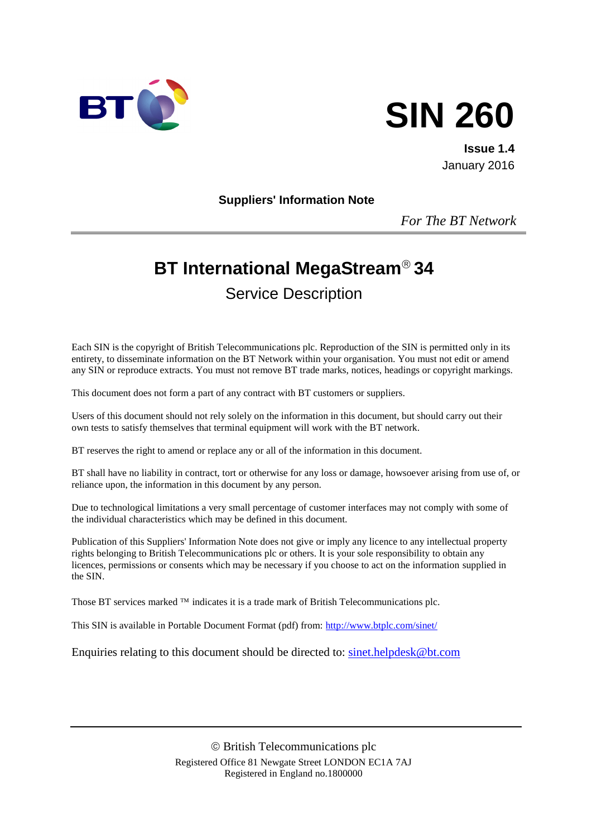



**Issue 1.4** January 2016

**Suppliers' Information Note**

*For The BT Network*

# **BT International MegaStream34**

Service Description

Each SIN is the copyright of British Telecommunications plc. Reproduction of the SIN is permitted only in its entirety, to disseminate information on the BT Network within your organisation. You must not edit or amend any SIN or reproduce extracts. You must not remove BT trade marks, notices, headings or copyright markings.

This document does not form a part of any contract with BT customers or suppliers.

Users of this document should not rely solely on the information in this document, but should carry out their own tests to satisfy themselves that terminal equipment will work with the BT network.

BT reserves the right to amend or replace any or all of the information in this document.

BT shall have no liability in contract, tort or otherwise for any loss or damage, howsoever arising from use of, or reliance upon, the information in this document by any person.

Due to technological limitations a very small percentage of customer interfaces may not comply with some of the individual characteristics which may be defined in this document.

Publication of this Suppliers' Information Note does not give or imply any licence to any intellectual property rights belonging to British Telecommunications plc or others. It is your sole responsibility to obtain any licences, permissions or consents which may be necessary if you choose to act on the information supplied in the SIN.

Those BT services marked  $TM$  indicates it is a trade mark of British Telecommunications plc.

This SIN is available in Portable Document Format (pdf) from:<http://www.btplc.com/sinet/>

Enquiries relating to this document should be directed to: [sinet.helpdesk@bt.com](mailto:sinet.helpdesk@bt.com)

 British Telecommunications plc Registered Office 81 Newgate Street LONDON EC1A 7AJ Registered in England no.1800000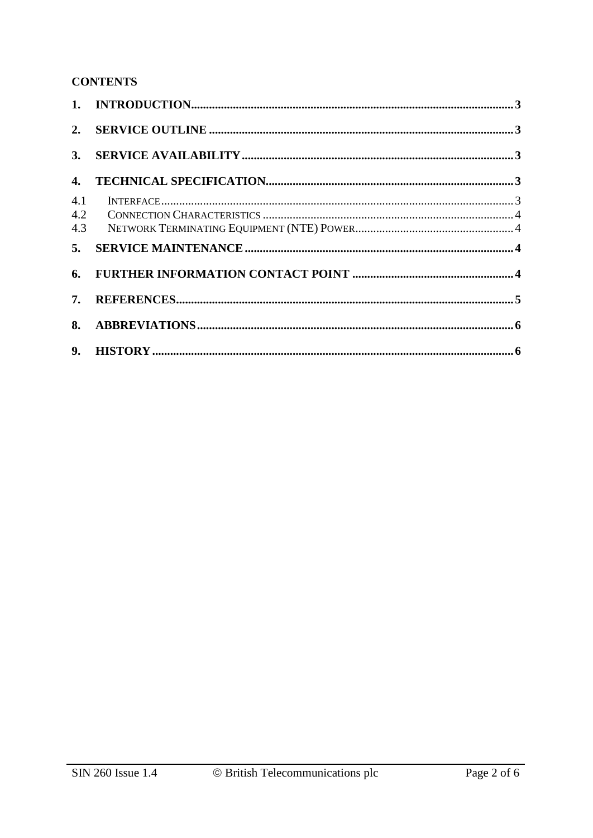## **CONTENTS**

| 3.                        |                                                                                                                                                                                                                                                                                                                                                                                                                                                                                                                                                                                                                         |  |
|---------------------------|-------------------------------------------------------------------------------------------------------------------------------------------------------------------------------------------------------------------------------------------------------------------------------------------------------------------------------------------------------------------------------------------------------------------------------------------------------------------------------------------------------------------------------------------------------------------------------------------------------------------------|--|
| $\mathbf{4}_{\mathbf{1}}$ |                                                                                                                                                                                                                                                                                                                                                                                                                                                                                                                                                                                                                         |  |
| 4.1                       | $\textbf{INTERFACE} \textcolor{red}{.\textcolor{blue}{.}\textcolor{blue}{.}\textcolor{blue}{.}\textcolor{blue}{.}\textcolor{blue}{.}\textcolor{blue}{.}\textcolor{blue}{.}\textcolor{blue}{.}\textcolor{blue}{.}\textcolor{blue}{.}\textcolor{blue}{.}\textcolor{blue}{.}\textcolor{blue}{.}\textcolor{blue}{.}\textcolor{blue}{.}\textcolor{blue}{.}\textcolor{blue}{.}\textcolor{blue}{.}\textcolor{blue}{.}\textcolor{blue}{.}\textcolor{blue}{.}\textcolor{blue}{.}\textcolor{blue}{.}\textcolor{blue}{.}\textcolor{blue}{.}\textcolor{blue}{.}\textcolor{blue}{.}\textcolor{blue}{.}\textcolor{blue}{.}\textcolor$ |  |
| 4.3<br>5.                 |                                                                                                                                                                                                                                                                                                                                                                                                                                                                                                                                                                                                                         |  |
| 6.                        |                                                                                                                                                                                                                                                                                                                                                                                                                                                                                                                                                                                                                         |  |
| 7.                        |                                                                                                                                                                                                                                                                                                                                                                                                                                                                                                                                                                                                                         |  |
| 8.                        |                                                                                                                                                                                                                                                                                                                                                                                                                                                                                                                                                                                                                         |  |
| 9.                        |                                                                                                                                                                                                                                                                                                                                                                                                                                                                                                                                                                                                                         |  |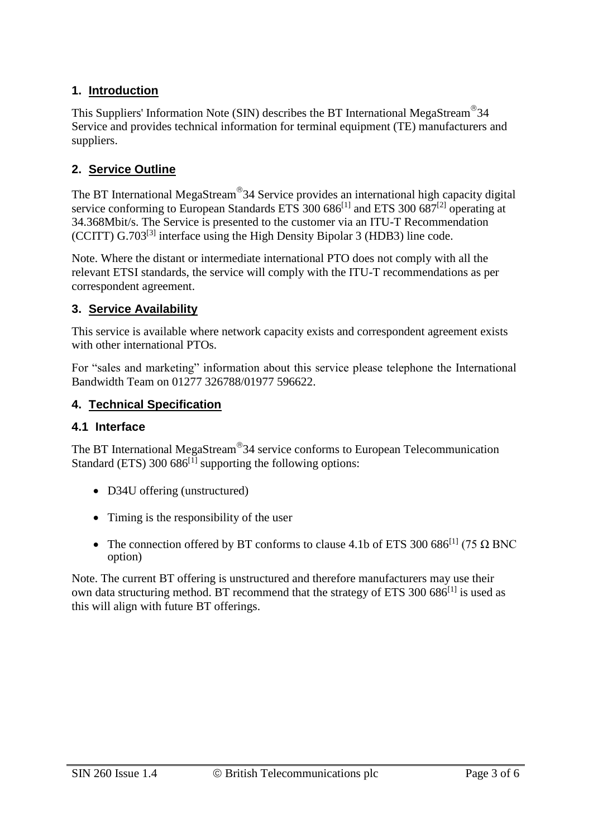# **1. Introduction**

This Suppliers' Information Note (SIN) describes the BT International MegaStream<sup>®</sup>34 Service and provides technical information for terminal equipment (TE) manufacturers and suppliers.

# **2. Service Outline**

The BT International MegaStream<sup>®</sup>34 Service provides an international high capacity digital service conforming to European Standards ETS 300  $686$ <sup>[1]</sup> and ETS 300  $687$ <sup>[2]</sup> operating at 34.368Mbit/s. The Service is presented to the customer via an ITU-T Recommendation (CCITT)  $G.703^{[3]}$  interface using the High Density Bipolar 3 (HDB3) line code.

Note. Where the distant or intermediate international PTO does not comply with all the relevant ETSI standards, the service will comply with the ITU-T recommendations as per correspondent agreement.

#### **3. Service Availability**

This service is available where network capacity exists and correspondent agreement exists with other international PTOs.

For "sales and marketing" information about this service please telephone the International Bandwidth Team on 01277 326788/01977 596622.

#### **4. Technical Specification**

#### **4.1 Interface**

The BT International MegaStream 34 service conforms to European Telecommunication Standard (ETS) 300  $686^{[\overline{1}]}$  supporting the following options:

- D34U offering (unstructured)
- Timing is the responsibility of the user
- The connection offered by BT conforms to clause 4.1b of ETS 300 686<sup>[1]</sup> (75  $\Omega$  BNC option)

Note. The current BT offering is unstructured and therefore manufacturers may use their own data structuring method. BT recommend that the strategy of ETS 300  $686$ <sup>[1]</sup> is used as this will align with future BT offerings.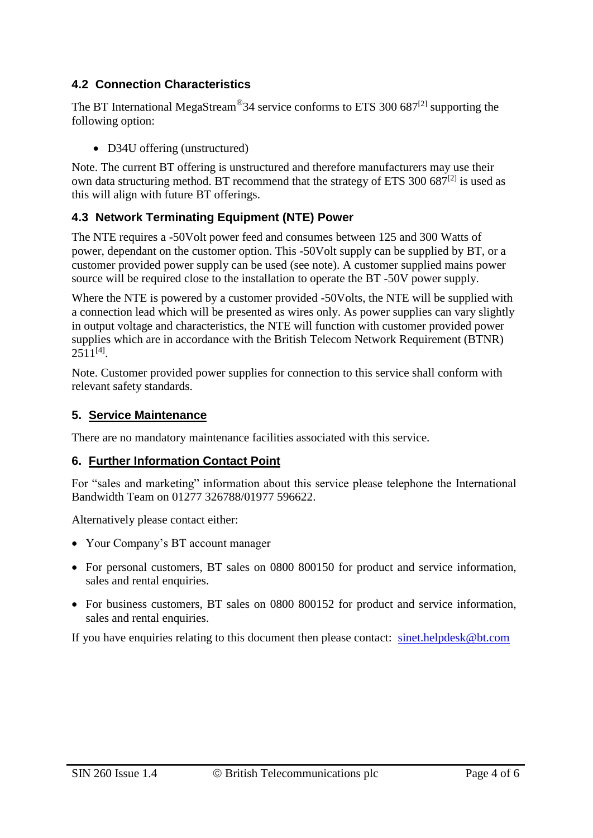# **4.2 Connection Characteristics**

The BT International MegaStream<sup>®</sup>34 service conforms to ETS 300 687<sup>[2]</sup> supporting the following option:

• D34U offering (unstructured)

Note. The current BT offering is unstructured and therefore manufacturers may use their own data structuring method. BT recommend that the strategy of ETS 300 687<sup>[2]</sup> is used as this will align with future BT offerings.

# **4.3 Network Terminating Equipment (NTE) Power**

The NTE requires a -50Volt power feed and consumes between 125 and 300 Watts of power, dependant on the customer option. This -50Volt supply can be supplied by BT, or a customer provided power supply can be used (see note). A customer supplied mains power source will be required close to the installation to operate the BT -50V power supply.

Where the NTE is powered by a customer provided -50Volts, the NTE will be supplied with a connection lead which will be presented as wires only. As power supplies can vary slightly in output voltage and characteristics, the NTE will function with customer provided power supplies which are in accordance with the British Telecom Network Requirement (BTNR)  $2511^{[4]}$ .

Note. Customer provided power supplies for connection to this service shall conform with relevant safety standards.

## **5. Service Maintenance**

There are no mandatory maintenance facilities associated with this service.

## **6. Further Information Contact Point**

For "sales and marketing" information about this service please telephone the International Bandwidth Team on 01277 326788/01977 596622.

Alternatively please contact either:

- Your Company's BT account manager
- For personal customers, BT sales on 0800 800150 for product and service information, sales and rental enquiries.
- For business customers, BT sales on 0800 800152 for product and service information, sales and rental enquiries.

If you have enquiries relating to this document then please contact: [sinet.helpdesk@bt.com](mailto:sinet.helpdesk@bt.com)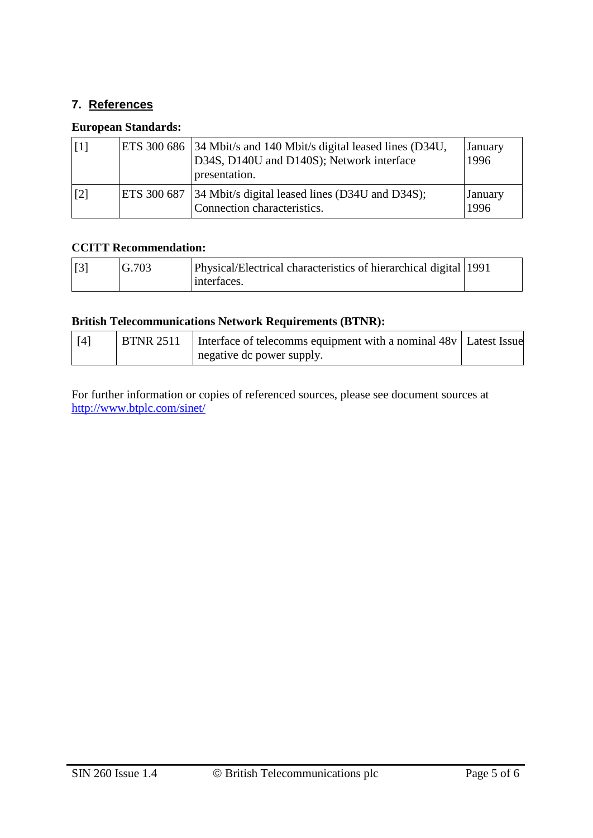## **7. References**

#### **European Standards:**

| $\lceil 1 \rceil$ |  | ETS 300 686 34 Mbit/s and 140 Mbit/s digital leased lines (D34U,<br>D34S, D140U and D140S); Network interface<br>presentation. | <b>January</b><br>1996 |
|-------------------|--|--------------------------------------------------------------------------------------------------------------------------------|------------------------|
| ETS 300 687       |  | 34 Mbit/s digital leased lines (D34U and D34S);                                                                                | <b>January</b>         |
| $\lceil 2 \rceil$ |  | Connection characteristics.                                                                                                    | 1996                   |

#### **CCITT Recommendation:**

| $\vert$ [3] | $\overline{G}$ .703 | Physical/Electrical characteristics of hierarchical digital 1991 |  |
|-------------|---------------------|------------------------------------------------------------------|--|
|             |                     | interfaces.                                                      |  |

#### **British Telecommunications Network Requirements (BTNR):**

| $\lceil 4 \rceil$ | $\overline{\phantom{0}}$ BTNR 2511 | Interface of telecomms equipment with a nominal 48y   Latest Issue |  |
|-------------------|------------------------------------|--------------------------------------------------------------------|--|
|                   |                                    | negative dc power supply.                                          |  |

For further information or copies of referenced sources, please see document sources at <http://www.btplc.com/sinet/>